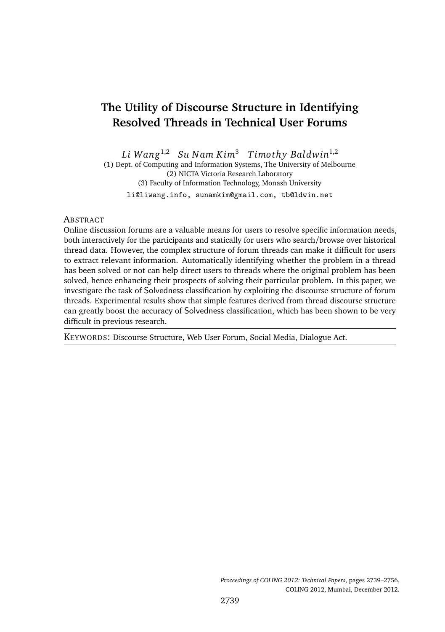# **The Utility of Discourse Structure in Identifying Resolved Threads in Technical User Forums**

*Li Wang*1,2 *Su N am Kim*<sup>3</sup> *Timo thy Baldwin*1,2 (1) Dept. of Computing and Information Systems, The University of Melbourne

(2) NICTA Victoria Research Laboratory (3) Faculty of Information Technology, Monash University

li@liwang.info, sunamkim@gmail.com, tb@ldwin.net

#### **ABSTRACT**

Online discussion forums are a valuable means for users to resolve specific information needs, both interactively for the participants and statically for users who search/browse over historical thread data. However, the complex structure of forum threads can make it difficult for users to extract relevant information. Automatically identifying whether the problem in a thread has been solved or not can help direct users to threads where the original problem has been solved, hence enhancing their prospects of solving their particular problem. In this paper, we investigate the task of Solvedness classification by exploiting the discourse structure of forum threads. Experimental results show that simple features derived from thread discourse structure can greatly boost the accuracy of Solvedness classification, which has been shown to be very difficult in previous research.

KEYWORDS: Discourse Structure, Web User Forum, Social Media, Dialogue Act.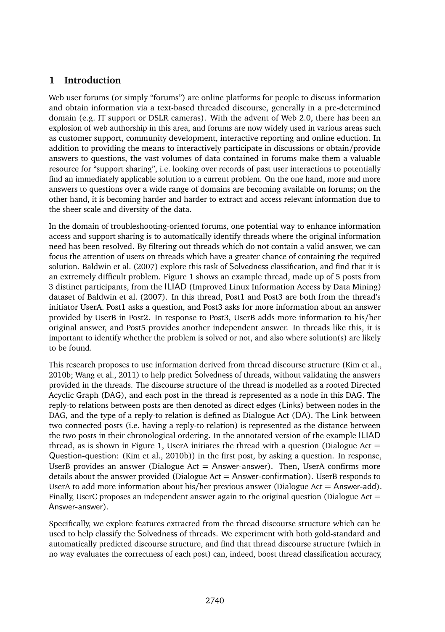# **1 Introduction**

Web user forums (or simply "forums") are online platforms for people to discuss information and obtain information via a text-based threaded discourse, generally in a pre-determined domain (e.g. IT support or DSLR cameras). With the advent of Web 2.0, there has been an explosion of web authorship in this area, and forums are now widely used in various areas such as customer support, community development, interactive reporting and online eduction. In addition to providing the means to interactively participate in discussions or obtain/provide answers to questions, the vast volumes of data contained in forums make them a valuable resource for "support sharing", i.e. looking over records of past user interactions to potentially find an immediately applicable solution to a current problem. On the one hand, more and more answers to questions over a wide range of domains are becoming available on forums; on the other hand, it is becoming harder and harder to extract and access relevant information due to the sheer scale and diversity of the data.

In the domain of troubleshooting-oriented forums, one potential way to enhance information access and support sharing is to automatically identify threads where the original information need has been resolved. By filtering out threads which do not contain a valid answer, we can focus the attention of users on threads which have a greater chance of containing the required solution. Baldwin et al. (2007) explore this task of Solvedness classification, and find that it is an extremely difficult problem. Figure 1 shows an example thread, made up of 5 posts from 3 distinct participants, from the ILIAD (Improved Linux Information Access by Data Mining) dataset of Baldwin et al. (2007). In this thread, Post1 and Post3 are both from the thread's initiator UserA. Post1 asks a question, and Post3 asks for more information about an answer provided by UserB in Post2. In response to Post3, UserB adds more information to his/her original answer, and Post5 provides another independent answer. In threads like this, it is important to identify whether the problem is solved or not, and also where solution(s) are likely to be found.

This research proposes to use information derived from thread discourse structure (Kim et al., 2010b; Wang et al., 2011) to help predict Solvedness of threads, without validating the answers provided in the threads. The discourse structure of the thread is modelled as a rooted Directed Acyclic Graph (DAG), and each post in the thread is represented as a node in this DAG. The reply-to relations between posts are then denoted as direct edges (Links) between nodes in the DAG, and the type of a reply-to relation is defined as Dialogue Act (DA). The Link between two connected posts (i.e. having a reply-to relation) is represented as the distance between the two posts in their chronological ordering. In the annotated version of the example ILIAD thread, as is shown in Figure 1, UserA initiates the thread with a question (Dialogue Act  $=$ Question-question: (Kim et al., 2010b)) in the first post, by asking a question. In response, UserB provides an answer (Dialogue Act  $=$  Answer-answer). Then, UserA confirms more details about the answer provided (Dialogue Act  $=$  Answer-confirmation). UserB responds to UserA to add more information about his/her previous answer (Dialogue Act  $=$  Answer-add). Finally, UserC proposes an independent answer again to the original question (Dialogue Act  $=$ Answer-answer).

Specifically, we explore features extracted from the thread discourse structure which can be used to help classify the Solvedness of threads. We experiment with both gold-standard and automatically predicted discourse structure, and find that thread discourse structure (which in no way evaluates the correctness of each post) can, indeed, boost thread classification accuracy,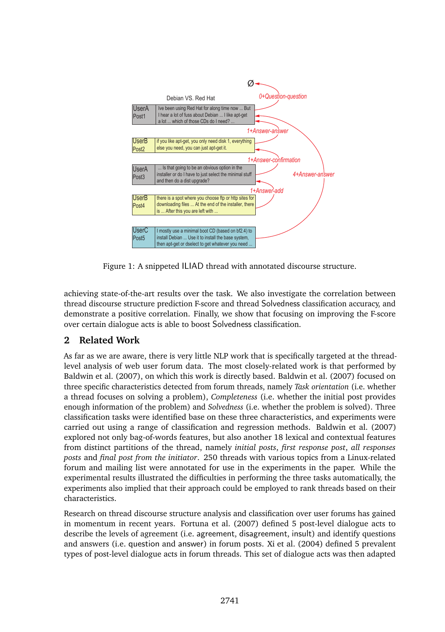

Figure 1: A snippeted ILIAD thread with annotated discourse structure.

achieving state-of-the-art results over the task. We also investigate the correlation between thread discourse structure prediction F-score and thread Solvedness classification accuracy, and demonstrate a positive correlation. Finally, we show that focusing on improving the F-score over certain dialogue acts is able to boost Solvedness classification.

# **2 Related Work**

As far as we are aware, there is very little NLP work that is specifically targeted at the threadlevel analysis of web user forum data. The most closely-related work is that performed by Baldwin et al. (2007), on which this work is directly based. Baldwin et al. (2007) focused on three specific characteristics detected from forum threads, namely *Task orientation* (i.e. whether a thread focuses on solving a problem), *Completeness* (i.e. whether the initial post provides enough information of the problem) and *Solvedness* (i.e. whether the problem is solved). Three classification tasks were identified base on these three characteristics, and experiments were carried out using a range of classification and regression methods. Baldwin et al. (2007) explored not only bag-of-words features, but also another 18 lexical and contextual features from distinct partitions of the thread, namely *initial posts*, *first response post*, *all responses posts* and *final post from the initiator*. 250 threads with various topics from a Linux-related forum and mailing list were annotated for use in the experiments in the paper. While the experimental results illustrated the difficulties in performing the three tasks automatically, the experiments also implied that their approach could be employed to rank threads based on their characteristics.

Research on thread discourse structure analysis and classification over user forums has gained in momentum in recent years. Fortuna et al. (2007) defined 5 post-level dialogue acts to describe the levels of agreement (i.e. agreement, disagreement, insult) and identify questions and answers (i.e. question and answer) in forum posts. Xi et al. (2004) defined 5 prevalent types of post-level dialogue acts in forum threads. This set of dialogue acts was then adapted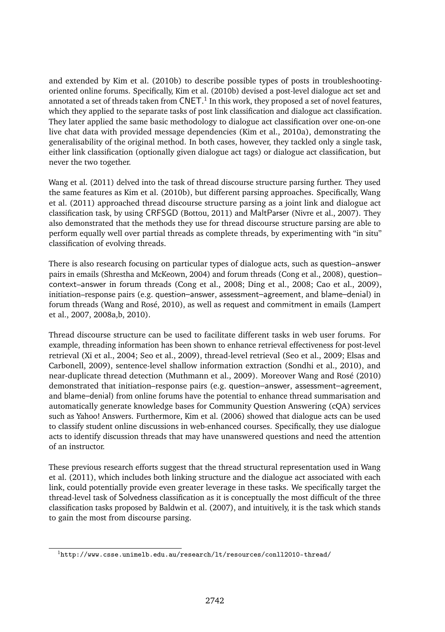and extended by Kim et al. (2010b) to describe possible types of posts in troubleshootingoriented online forums. Specifically, Kim et al. (2010b) devised a post-level dialogue act set and annotated a set of threads taken from  $\mathsf{CNET.}^1$  In this work, they proposed a set of novel features, which they applied to the separate tasks of post link classification and dialogue act classification. They later applied the same basic methodology to dialogue act classification over one-on-one live chat data with provided message dependencies (Kim et al., 2010a), demonstrating the generalisability of the original method. In both cases, however, they tackled only a single task, either link classification (optionally given dialogue act tags) or dialogue act classification, but never the two together.

Wang et al. (2011) delved into the task of thread discourse structure parsing further. They used the same features as Kim et al. (2010b), but different parsing approaches. Specifically, Wang et al. (2011) approached thread discourse structure parsing as a joint link and dialogue act classification task, by using CRFSGD (Bottou, 2011) and MaltParser (Nivre et al., 2007). They also demonstrated that the methods they use for thread discourse structure parsing are able to perform equally well over partial threads as complete threads, by experimenting with "in situ" classification of evolving threads.

There is also research focusing on particular types of dialogue acts, such as question–answer pairs in emails (Shrestha and McKeown, 2004) and forum threads (Cong et al., 2008), question– context–answer in forum threads (Cong et al., 2008; Ding et al., 2008; Cao et al., 2009), initiation–response pairs (e.g. question–answer, assessment–agreement, and blame–denial) in forum threads (Wang and Rosé, 2010), as well as request and commitment in emails (Lampert et al., 2007, 2008a,b, 2010).

Thread discourse structure can be used to facilitate different tasks in web user forums. For example, threading information has been shown to enhance retrieval effectiveness for post-level retrieval (Xi et al., 2004; Seo et al., 2009), thread-level retrieval (Seo et al., 2009; Elsas and Carbonell, 2009), sentence-level shallow information extraction (Sondhi et al., 2010), and near-duplicate thread detection (Muthmann et al., 2009). Moreover Wang and Rosé (2010) demonstrated that initiation–response pairs (e.g. question–answer, assessment–agreement, and blame–denial) from online forums have the potential to enhance thread summarisation and automatically generate knowledge bases for Community Question Answering (cQA) services such as Yahoo! Answers. Furthermore, Kim et al. (2006) showed that dialogue acts can be used to classify student online discussions in web-enhanced courses. Specifically, they use dialogue acts to identify discussion threads that may have unanswered questions and need the attention of an instructor.

These previous research efforts suggest that the thread structural representation used in Wang et al. (2011), which includes both linking structure and the dialogue act associated with each link, could potentially provide even greater leverage in these tasks. We specifically target the thread-level task of Solvedness classification as it is conceptually the most difficult of the three classification tasks proposed by Baldwin et al. (2007), and intuitively, it is the task which stands to gain the most from discourse parsing.

 $1$ http://www.csse.unimelb.edu.au/research/lt/resources/conll2010-thread/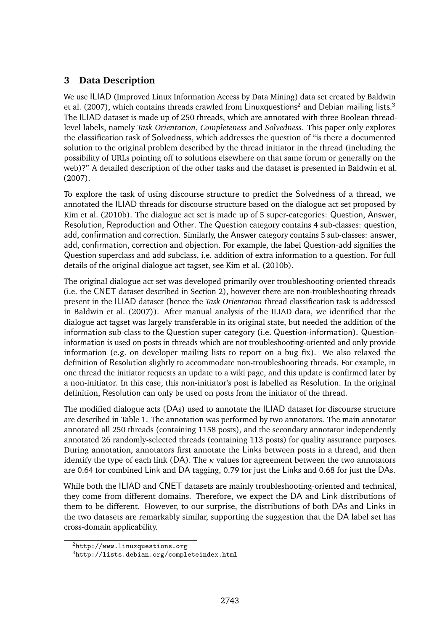# **3 Data Description**

We use ILIAD (Improved Linux Information Access by Data Mining) data set created by Baldwin et al. (2007), which contains threads crawled from Linuxquestions<sup>2</sup> and Debian mailing lists.<sup>3</sup> The ILIAD dataset is made up of 250 threads, which are annotated with three Boolean threadlevel labels, namely *Task Orientation*, *Completeness* and *Solvedness*. This paper only explores the classification task of Solvedness, which addresses the question of "is there a documented solution to the original problem described by the thread initiator in the thread (including the possibility of URLs pointing off to solutions elsewhere on that same forum or generally on the web)?" A detailed description of the other tasks and the dataset is presented in Baldwin et al. (2007).

To explore the task of using discourse structure to predict the Solvedness of a thread, we annotated the ILIAD threads for discourse structure based on the dialogue act set proposed by Kim et al. (2010b). The dialogue act set is made up of 5 super-categories: Question, Answer, Resolution, Reproduction and Other. The Question category contains 4 sub-classes: question, add, confirmation and correction. Similarly, the Answer category contains 5 sub-classes: answer, add, confirmation, correction and objection. For example, the label Question-add signifies the Question superclass and add subclass, i.e. addition of extra information to a question. For full details of the original dialogue act tagset, see Kim et al. (2010b).

The original dialogue act set was developed primarily over troubleshooting-oriented threads (i.e. the CNET dataset described in Section 2), however there are non-troubleshooting threads present in the ILIAD dataset (hence the *Task Orientation* thread classification task is addressed in Baldwin et al. (2007)). After manual analysis of the ILIAD data, we identified that the dialogue act tagset was largely transferable in its original state, but needed the addition of the information sub-class to the Question super-category (i.e. Question-information). Questioninformation is used on posts in threads which are not troubleshooting-oriented and only provide information (e.g. on developer mailing lists to report on a bug fix). We also relaxed the definition of Resolution slightly to accommodate non-troubleshooting threads. For example, in one thread the initiator requests an update to a wiki page, and this update is confirmed later by a non-initiator. In this case, this non-initiator's post is labelled as Resolution. In the original definition, Resolution can only be used on posts from the initiator of the thread.

The modified dialogue acts (DAs) used to annotate the ILIAD dataset for discourse structure are described in Table 1. The annotation was performed by two annotators. The main annotator annotated all 250 threads (containing 1158 posts), and the secondary annotator independently annotated 26 randomly-selected threads (containing 113 posts) for quality assurance purposes. During annotation, annotators first annotate the Links between posts in a thread, and then identify the type of each link (DA). The *κ* values for agreement between the two annotators are 0.64 for combined Link and DA tagging, 0.79 for just the Links and 0.68 for just the DAs.

While both the ILIAD and CNET datasets are mainly troubleshooting-oriented and technical, they come from different domains. Therefore, we expect the DA and Link distributions of them to be different. However, to our surprise, the distributions of both DAs and Links in the two datasets are remarkably similar, supporting the suggestion that the DA label set has cross-domain applicability.

<sup>2</sup>http://www.linuxquestions.org

<sup>3</sup>http://lists.debian.org/completeindex.html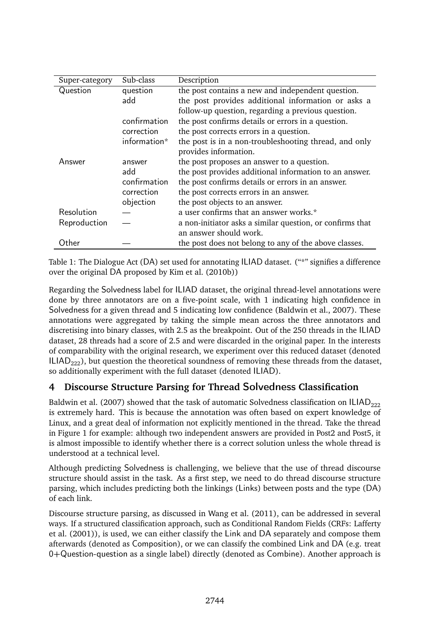| Super-category | Sub-class    | Description                                               |
|----------------|--------------|-----------------------------------------------------------|
| Question       | question     | the post contains a new and independent question.         |
|                | add          | the post provides additional information or asks a        |
|                |              | follow-up question, regarding a previous question.        |
|                | confirmation | the post confirms details or errors in a question.        |
|                | correction   | the post corrects errors in a question.                   |
|                | information* | the post is in a non-troubleshooting thread, and only     |
|                |              | provides information.                                     |
| Answer         | answer       | the post proposes an answer to a question.                |
|                | add          | the post provides additional information to an answer.    |
|                | confirmation | the post confirms details or errors in an answer.         |
|                | correction   | the post corrects errors in an answer.                    |
|                | objection    | the post objects to an answer.                            |
| Resolution     |              | a user confirms that an answer works.*                    |
| Reproduction   |              | a non-initiator asks a similar question, or confirms that |
|                |              | an answer should work.                                    |
| Other          |              | the post does not belong to any of the above classes.     |

Table 1: The Dialogue Act (DA) set used for annotating ILIAD dataset. ("\*" signifies a difference over the original DA proposed by Kim et al. (2010b))

Regarding the Solvedness label for ILIAD dataset, the original thread-level annotations were done by three annotators are on a five-point scale, with 1 indicating high confidence in Solvedness for a given thread and 5 indicating low confidence (Baldwin et al., 2007). These annotations were aggregated by taking the simple mean across the three annotators and discretising into binary classes, with 2.5 as the breakpoint. Out of the 250 threads in the ILIAD dataset, 28 threads had a score of 2.5 and were discarded in the original paper. In the interests of comparability with the original research, we experiment over this reduced dataset (denoted  $ILIAD<sub>222</sub>$ , but question the theoretical soundness of removing these threads from the dataset, so additionally experiment with the full dataset (denoted ILIAD).

# **4 Discourse Structure Parsing for Thread** Solvedness **Classification**

Baldwin et al. (2007) showed that the task of automatic Solvedness classification on  $ILIAD_{222}$ is extremely hard. This is because the annotation was often based on expert knowledge of Linux, and a great deal of information not explicitly mentioned in the thread. Take the thread in Figure 1 for example: although two independent answers are provided in Post2 and Post5, it is almost impossible to identify whether there is a correct solution unless the whole thread is understood at a technical level.

Although predicting Solvedness is challenging, we believe that the use of thread discourse structure should assist in the task. As a first step, we need to do thread discourse structure parsing, which includes predicting both the linkings (Links) between posts and the type (DA) of each link.

Discourse structure parsing, as discussed in Wang et al. (2011), can be addressed in several ways. If a structured classification approach, such as Conditional Random Fields (CRFs: Lafferty et al. (2001)), is used, we can either classify the Link and DA separately and compose them afterwards (denoted as Composition), or we can classify the combined Link and DA (e.g. treat 0+Question-question as a single label) directly (denoted as Combine). Another approach is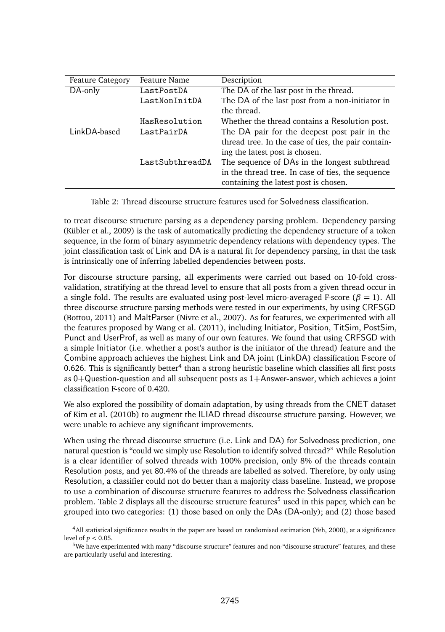| <b>Feature Category</b> | Feature Name    | Description                                         |
|-------------------------|-----------------|-----------------------------------------------------|
| DA-only                 | LastPostDA      | The DA of the last post in the thread.              |
|                         | LastNonInitDA   | The DA of the last post from a non-initiator in     |
|                         |                 | the thread.                                         |
|                         | HasResolution   | Whether the thread contains a Resolution post.      |
| LinkDA-based            | LastPairDA      | The DA pair for the deepest post pair in the        |
|                         |                 | thread tree. In the case of ties, the pair contain- |
|                         |                 | ing the latest post is chosen.                      |
|                         | LastSubthreadDA | The sequence of DAs in the longest subthread        |
|                         |                 | in the thread tree. In case of ties, the sequence   |
|                         |                 | containing the latest post is chosen.               |

|  | Table 2: Thread discourse structure features used for Solvedness classification. |
|--|----------------------------------------------------------------------------------|
|--|----------------------------------------------------------------------------------|

to treat discourse structure parsing as a dependency parsing problem. Dependency parsing (Kübler et al., 2009) is the task of automatically predicting the dependency structure of a token sequence, in the form of binary asymmetric dependency relations with dependency types. The joint classification task of Link and DA is a natural fit for dependency parsing, in that the task is intrinsically one of inferring labelled dependencies between posts.

For discourse structure parsing, all experiments were carried out based on 10-fold crossvalidation, stratifying at the thread level to ensure that all posts from a given thread occur in a single fold. The results are evaluated using post-level micro-averaged F-score ( $\beta = 1$ ). All three discourse structure parsing methods were tested in our experiments, by using CRFSGD (Bottou, 2011) and MaltParser (Nivre et al., 2007). As for features, we experimented with all the features proposed by Wang et al. (2011), including Initiator, Position, TitSim, PostSim, Punct and UserProf, as well as many of our own features. We found that using CRFSGD with a simple Initiator (i.e. whether a post's author is the initiator of the thread) feature and the Combine approach achieves the highest Link and DA joint (LinkDA) classification F-score of 0.626. This is significantly better<sup>4</sup> than a strong heuristic baseline which classifies all first posts as 0+Question-question and all subsequent posts as 1+Answer-answer, which achieves a joint classification F-score of 0.420.

We also explored the possibility of domain adaptation, by using threads from the CNET dataset of Kim et al. (2010b) to augment the ILIAD thread discourse structure parsing. However, we were unable to achieve any significant improvements.

When using the thread discourse structure (i.e. Link and DA) for Solvedness prediction, one natural question is "could we simply use Resolution to identify solved thread?" While Resolution is a clear identifier of solved threads with 100% precision, only 8% of the threads contain Resolution posts, and yet 80.4% of the threads are labelled as solved. Therefore, by only using Resolution, a classifier could not do better than a majority class baseline. Instead, we propose to use a combination of discourse structure features to address the Solvedness classification problem. Table 2 displays all the discourse structure features<sup>5</sup> used in this paper, which can be grouped into two categories: (1) those based on only the DAs (DA-only); and (2) those based

 $4$ All statistical significance results in the paper are based on randomised estimation (Yeh, 2000), at a significance level of *p <* 0.05.

<sup>5</sup>We have experimented with many "discourse structure" features and non-"discourse structure" features, and these are particularly useful and interesting.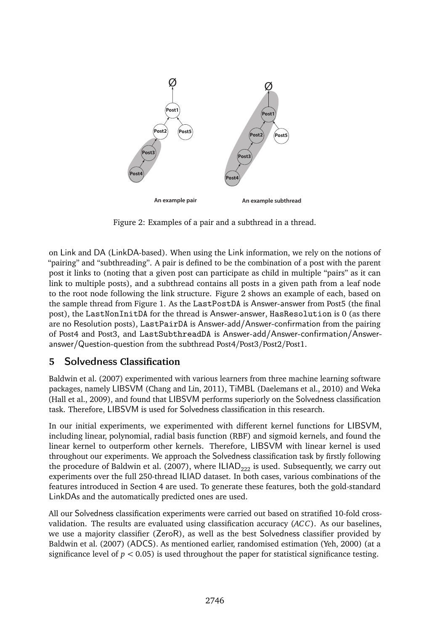

Figure 2: Examples of a pair and a subthread in a thread.

on Link and DA (LinkDA-based). When using the Link information, we rely on the notions of "pairing" and "subthreading". A pair is defined to be the combination of a post with the parent post it links to (noting that a given post can participate as child in multiple "pairs" as it can link to multiple posts), and a subthread contains all posts in a given path from a leaf node to the root node following the link structure. Figure 2 shows an example of each, based on the sample thread from Figure 1. As the LastPostDA is Answer-answer from Post5 (the final post), the LastNonInitDA for the thread is Answer-answer, HasResolution is 0 (as there are no Resolution posts), LastPairDA is Answer-add/Answer-confirmation from the pairing of Post4 and Post3, and LastSubthreadDA is Answer-add/Answer-confirmation/Answeranswer/Question-question from the subthread Post4/Post3/Post2/Post1.

# **5** Solvedness **Classification**

Baldwin et al. (2007) experimented with various learners from three machine learning software packages, namely LIBSVM (Chang and Lin, 2011), TiMBL (Daelemans et al., 2010) and Weka (Hall et al., 2009), and found that LIBSVM performs superiorly on the Solvedness classification task. Therefore, LIBSVM is used for Solvedness classification in this research.

In our initial experiments, we experimented with different kernel functions for LIBSVM, including linear, polynomial, radial basis function (RBF) and sigmoid kernels, and found the linear kernel to outperform other kernels. Therefore, LIBSVM with linear kernel is used throughout our experiments. We approach the Solvedness classification task by firstly following the procedure of Baldwin et al. (2007), where  $ILIAD_{222}$  is used. Subsequently, we carry out experiments over the full 250-thread ILIAD dataset. In both cases, various combinations of the features introduced in Section 4 are used. To generate these features, both the gold-standard LinkDAs and the automatically predicted ones are used.

All our Solvedness classification experiments were carried out based on stratified 10-fold crossvalidation. The results are evaluated using classification accuracy (*ACC*). As our baselines, we use a majority classifier (ZeroR), as well as the best Solvedness classifier provided by Baldwin et al. (2007) (ADCS). As mentioned earlier, randomised estimation (Yeh, 2000) (at a significance level of  $p < 0.05$ ) is used throughout the paper for statistical significance testing.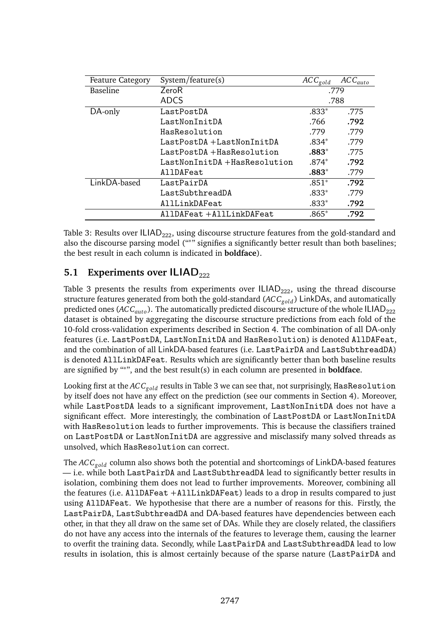| <b>Feature Category</b> | System/feature(s)            | $\overline{AC}C_{gold}$ | $\overline{AC}C_{auto}$ |
|-------------------------|------------------------------|-------------------------|-------------------------|
| Baseline                | ZeroR                        | .779                    |                         |
|                         | <b>ADCS</b>                  | .788                    |                         |
| DA-only                 | LastPostDA                   | $.833*$                 | .775                    |
|                         | LastNonInitDA                | .766                    | .792                    |
|                         | HasResolution                | .779                    | .779                    |
|                         | LastPostDA+LastNonInitDA     | $.834*$                 | .779                    |
|                         | LastPostDA+HasResolution     | $.883*$                 | .775                    |
|                         | LastNonInitDA +HasResolution | $.874*$                 | .792                    |
|                         | AllDAFeat                    | $.883*$                 | .779                    |
| LinkDA-based            | LastPairDA                   | $.851*$                 | .792                    |
|                         | LastSubthreadDA              | $.833*$                 | .779                    |
|                         | AllLinkDAFeat                | $.833*$                 | .792                    |
|                         | AllDAFeat +AllLinkDAFeat     | $.865*$                 | .792                    |

Table 3: Results over  $ILAD_{222}$ , using discourse structure features from the gold-standard and also the discourse parsing model ("<sup>∗</sup> " signifies a significantly better result than both baselines; the best result in each column is indicated in **boldface**).

# **5.1 Experiments over ILIAD**<sub>222</sub>

Table 3 presents the results from experiments over  $ILIAD<sub>222</sub>$ , using the thread discourse structure features generated from both the gold-standard (*ACCgold* ) LinkDAs, and automatically predicted ones (ACC<sub>auto</sub>). The automatically predicted discourse structure of the whole ILIAD<sub>222</sub> dataset is obtained by aggregating the discourse structure predictions from each fold of the 10-fold cross-validation experiments described in Section 4. The combination of all DA-only features (i.e. LastPostDA, LastNonInitDA and HasResolution) is denoted AllDAFeat, and the combination of all LinkDA-based features (i.e. LastPairDA and LastSubthreadDA) is denoted AllLinkDAFeat. Results which are significantly better than both baseline results are signified by "<sup>∗</sup> ", and the best result(s) in each column are presented in **boldface**.

Looking first at the *ACCgold* results in Table 3 we can see that, not surprisingly, HasResolution by itself does not have any effect on the prediction (see our comments in Section 4). Moreover, while LastPostDA leads to a significant improvement, LastNonInitDA does not have a significant effect. More interestingly, the combination of LastPostDA or LastNonInitDA with HasResolution leads to further improvements. This is because the classifiers trained on LastPostDA or LastNonInitDA are aggressive and misclassify many solved threads as unsolved, which HasResolution can correct.

The *ACCgold* column also shows both the potential and shortcomings of LinkDA-based features — i.e. while both LastPairDA and LastSubthreadDA lead to significantly better results in isolation, combining them does not lead to further improvements. Moreover, combining all the features (i.e. AllDAFeat +AllLinkDAFeat) leads to a drop in results compared to just using AllDAFeat. We hypothesise that there are a number of reasons for this. Firstly, the LastPairDA, LastSubthreadDA and DA-based features have dependencies between each other, in that they all draw on the same set of DAs. While they are closely related, the classifiers do not have any access into the internals of the features to leverage them, causing the learner to overfit the training data. Secondly, while LastPairDA and LastSubthreadDA lead to low results in isolation, this is almost certainly because of the sparse nature (LastPairDA and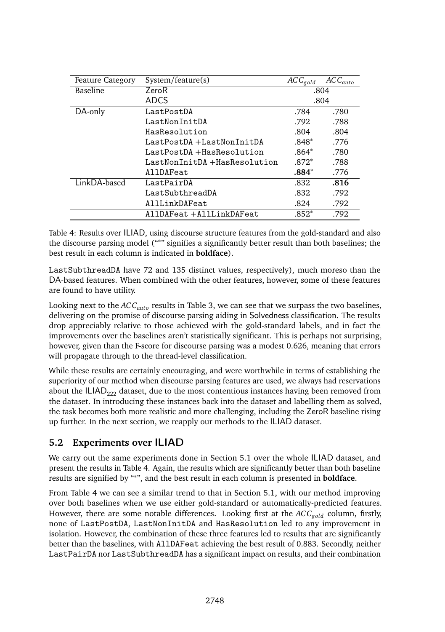| <b>Feature Category</b> | System/feature(s)            | $\overline{AC}C_{gold}$ | $\overline{AC}C_{auto}$ |
|-------------------------|------------------------------|-------------------------|-------------------------|
| Baseline                | ZeroR                        | .804                    |                         |
|                         | <b>ADCS</b>                  |                         | .804                    |
| DA-only                 | LastPostDA                   | .784                    | .780                    |
|                         | LastNonInitDA                | .792                    | .788                    |
|                         | HasResolution                | .804                    | .804                    |
|                         | LastPostDA+LastNonInitDA     | $.848*$                 | .776                    |
|                         | LastPostDA+HasResolution     | $.864*$                 | .780                    |
|                         | LastNonInitDA +HasResolution | $.872*$                 | .788                    |
|                         | AllDAFeat                    | $.884*$                 | .776                    |
| LinkDA-based            | LastPairDA                   | .832                    | .816                    |
|                         | LastSubthreadDA              | .832                    | .792                    |
|                         | AllLinkDAFeat                | .824                    | .792                    |
|                         | AllDAFeat +AllLinkDAFeat     | $.852*$                 | .792                    |

Table 4: Results over ILIAD, using discourse structure features from the gold-standard and also the discourse parsing model ("<sup>∗</sup> " signifies a significantly better result than both baselines; the best result in each column is indicated in **boldface**).

LastSubthreadDA have 72 and 135 distinct values, respectively), much moreso than the DA-based features. When combined with the other features, however, some of these features are found to have utility.

Looking next to the *ACC<sub>auto</sub>* results in Table 3, we can see that we surpass the two baselines, delivering on the promise of discourse parsing aiding in Solvedness classification. The results drop appreciably relative to those achieved with the gold-standard labels, and in fact the improvements over the baselines aren't statistically significant. This is perhaps not surprising, however, given than the F-score for discourse parsing was a modest 0.626, meaning that errors will propagate through to the thread-level classification.

While these results are certainly encouraging, and were worthwhile in terms of establishing the superiority of our method when discourse parsing features are used, we always had reservations about the  $ILIAD<sub>222</sub>$  dataset, due to the most contentious instances having been removed from the dataset. In introducing these instances back into the dataset and labelling them as solved, the task becomes both more realistic and more challenging, including the ZeroR baseline rising up further. In the next section, we reapply our methods to the ILIAD dataset.

# **5.2 Experiments over** ILIAD

We carry out the same experiments done in Section 5.1 over the whole ILIAD dataset, and present the results in Table 4. Again, the results which are significantly better than both baseline results are signified by "<sup>∗</sup> ", and the best result in each column is presented in **boldface**.

From Table 4 we can see a similar trend to that in Section 5.1, with our method improving over both baselines when we use either gold-standard or automatically-predicted features. However, there are some notable differences. Looking first at the *ACCgold* column, firstly, none of LastPostDA, LastNonInitDA and HasResolution led to any improvement in isolation. However, the combination of these three features led to results that are significantly better than the baselines, with AllDAFeat achieving the best result of 0.883. Secondly, neither LastPairDA nor LastSubthreadDA has a significant impact on results, and their combination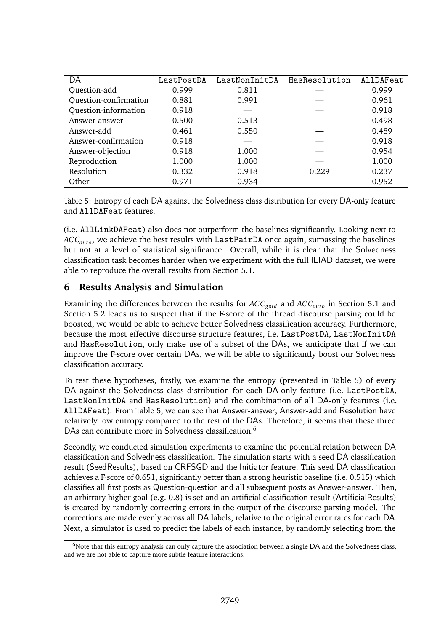| DA                          | LastPostDA | LastNonInitDA | HasResolution | AllDAFeat |
|-----------------------------|------------|---------------|---------------|-----------|
| Question-add                | 0.999      | 0.811         |               | 0.999     |
| Ouestion-confirmation       | 0.881      | 0.991         |               | 0.961     |
| <b>Ouestion-information</b> | 0.918      |               |               | 0.918     |
| Answer-answer               | 0.500      | 0.513         |               | 0.498     |
| Answer-add                  | 0.461      | 0.550         |               | 0.489     |
| Answer-confirmation         | 0.918      |               |               | 0.918     |
| Answer-objection            | 0.918      | 1.000         |               | 0.954     |
| Reproduction                | 1.000      | 1.000         |               | 1.000     |
| Resolution                  | 0.332      | 0.918         | 0.229         | 0.237     |
| Other                       | 0.971      | 0.934         |               | 0.952     |

Table 5: Entropy of each DA against the Solvedness class distribution for every DA-only feature and AllDAFeat features.

(i.e. AllLinkDAFeat) also does not outperform the baselines significantly. Looking next to *ACC<sub>auto</sub>*, we achieve the best results with LastPairDA once again, surpassing the baselines but not at a level of statistical significance. Overall, while it is clear that the Solvedness classification task becomes harder when we experiment with the full ILIAD dataset, we were able to reproduce the overall results from Section 5.1.

#### **6 Results Analysis and Simulation**

Examining the differences between the results for  $ACC_{gold}$  and  $ACC_{auto}$  in Section 5.1 and Section 5.2 leads us to suspect that if the F-score of the thread discourse parsing could be boosted, we would be able to achieve better Solvedness classification accuracy. Furthermore, because the most effective discourse structure features, i.e. LastPostDA, LastNonInitDA and HasResolution, only make use of a subset of the DAs, we anticipate that if we can improve the F-score over certain DAs, we will be able to significantly boost our Solvedness classification accuracy.

To test these hypotheses, firstly, we examine the entropy (presented in Table 5) of every DA against the Solvedness class distribution for each DA-only feature (i.e. LastPostDA, LastNonInitDA and HasResolution) and the combination of all DA-only features (i.e. AllDAFeat). From Table 5, we can see that Answer-answer, Answer-add and Resolution have relatively low entropy compared to the rest of the DAs. Therefore, it seems that these three DAs can contribute more in Solvedness classification.<sup>6</sup>

Secondly, we conducted simulation experiments to examine the potential relation between DA classification and Solvedness classification. The simulation starts with a seed DA classification result (SeedResults), based on CRFSGD and the Initiator feature. This seed DA classification achieves a F-score of 0.651, significantly better than a strong heuristic baseline (i.e. 0.515) which classifies all first posts as Question-question and all subsequent posts as Answer-answer. Then, an arbitrary higher goal (e.g. 0.8) is set and an artificial classification result (ArtificialResults) is created by randomly correcting errors in the output of the discourse parsing model. The corrections are made evenly across all DA labels, relative to the original error rates for each DA. Next, a simulator is used to predict the labels of each instance, by randomly selecting from the

 $6$ Note that this entropy analysis can only capture the association between a single DA and the Solvedness class, and we are not able to capture more subtle feature interactions.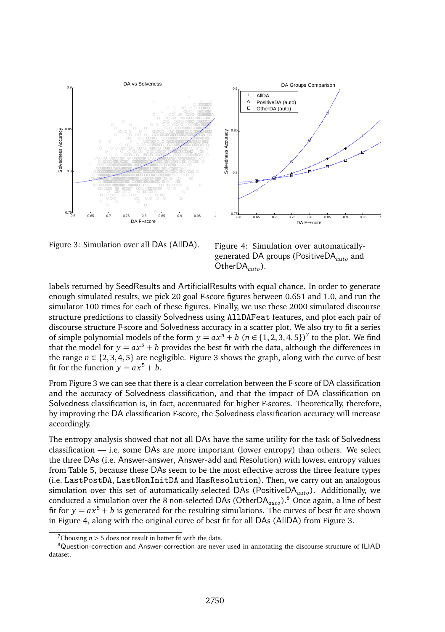

Figure 3: Simulation over all DAs (AllDA).

Figure 4: Simulation over automaticallygenerated DA groups (PositiveDA<sub>auto</sub> and OtherDA<sub>*auto*</sub>).

labels returned by SeedResults and ArtificialResults with equal chance. In order to generate enough simulated results, we pick 20 goal F-score figures between 0.651 and 1.0, and run the simulator 100 times for each of these figures. Finally, we use these 2000 simulated discourse structure predictions to classify Solvedness using AllDAFeat features, and plot each pair of discourse structure F-score and Solvedness accuracy in a scatter plot. We also try to fit a series of simple polynomial models of the form  $y = ax^n + b$  ( $n \in \{1, 2, 3, 4, 5\}$ )<sup>7</sup> to the plot. We find that the model for  $y = ax^5 + b$  provides the best fit with the data, although the differences in the range  $n \in \{2, 3, 4, 5\}$  are negligible. Figure 3 shows the graph, along with the curve of best fit for the function  $y = ax^5 + b$ .

From Figure 3 we can see that there is a clear correlation between the F-score of DA classification and the accuracy of Solvedness classification, and that the impact of DA classification on Solvedness classification is, in fact, accentuated for higher F-scores. Theoretically, therefore, by improving the DA classification F-score, the Solvedness classification accuracy will increase accordingly.

The entropy analysis showed that not all DAs have the same utility for the task of Solvedness classification — i.e. some DAs are more important (lower entropy) than others. We select the three DAs (i.e. Answer-answer, Answer-add and Resolution) with lowest entropy values from Table 5, because these DAs seem to be the most effective across the three feature types (i.e. LastPostDA, LastNonInitDA and HasResolution). Then, we carry out an analogous simulation over this set of automatically-selected DAs (PositiveDA<sub>auto</sub>). Additionally, we conducted a simulation over the 8 non-selected DAs (OtherDA<sub>auto</sub>).<sup>8</sup> Once again, a line of best fit for  $y = ax^5 + b$  is generated for the resulting simulations. The curves of best fit are shown in Figure 4, along with the original curve of best fit for all DAs (AllDA) from Figure 3.

 $7$ Choosing  $n > 5$  does not result in better fit with the data.

<sup>8</sup>Question-correction and Answer-correction are never used in annotating the discourse structure of ILIAD dataset.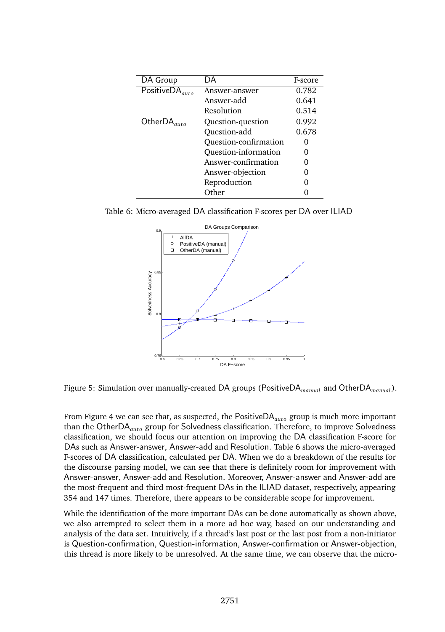| DA Group                              | DA                    | F-score |
|---------------------------------------|-----------------------|---------|
| $\overline{\text{PositiveDA}}_{auto}$ | Answer-answer         |         |
|                                       | Answer-add            | 0.641   |
|                                       | Resolution            | 0.514   |
| OtherDA                               | Question-question     | 0.992   |
|                                       | Question-add          | 0.678   |
|                                       | Ouestion-confirmation | Ω       |
|                                       | Ouestion-information  | O       |
|                                       | Answer-confirmation   | O       |
|                                       | Answer-objection      | O       |
|                                       | Reproduction          | Ω       |
|                                       | Other                 |         |

Table 6: Micro-averaged DA classification F-scores per DA over ILIAD



Figure 5: Simulation over manually-created DA groups (PositiveDA*manual* and OtherDA*manual* ).

From Figure 4 we can see that, as suspected, the PositiveDA<sub>auto</sub> group is much more important than the OtherDA<sub>*auto*</sub> group for Solvedness classification. Therefore, to improve Solvedness classification, we should focus our attention on improving the DA classification F-score for DAs such as Answer-answer, Answer-add and Resolution. Table 6 shows the micro-averaged F-scores of DA classification, calculated per DA. When we do a breakdown of the results for the discourse parsing model, we can see that there is definitely room for improvement with Answer-answer, Answer-add and Resolution. Moreover, Answer-answer and Answer-add are the most-frequent and third most-frequent DAs in the ILIAD dataset, respectively, appearing 354 and 147 times. Therefore, there appears to be considerable scope for improvement.

While the identification of the more important DAs can be done automatically as shown above, we also attempted to select them in a more ad hoc way, based on our understanding and analysis of the data set. Intuitively, if a thread's last post or the last post from a non-initiator is Question-confirmation, Question-information, Answer-confirmation or Answer-objection, this thread is more likely to be unresolved. At the same time, we can observe that the micro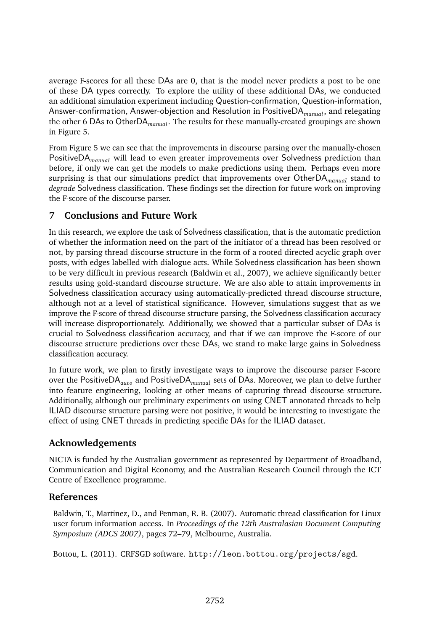average F-scores for all these DAs are 0, that is the model never predicts a post to be one of these DA types correctly. To explore the utility of these additional DAs, we conducted an additional simulation experiment including Question-confirmation, Question-information, Answer-confirmation, Answer-objection and Resolution in PositiveDA*manual*, and relegating the other 6 DAs to OtherDA*manual*. The results for these manually-created groupings are shown in Figure 5.

From Figure 5 we can see that the improvements in discourse parsing over the manually-chosen PositiveDA*manual* will lead to even greater improvements over Solvedness prediction than before, if only we can get the models to make predictions using them. Perhaps even more surprising is that our simulations predict that improvements over OtherDA*manual* stand to *degrade* Solvedness classification. These findings set the direction for future work on improving the F-score of the discourse parser.

#### **7 Conclusions and Future Work**

In this research, we explore the task of Solvedness classification, that is the automatic prediction of whether the information need on the part of the initiator of a thread has been resolved or not, by parsing thread discourse structure in the form of a rooted directed acyclic graph over posts, with edges labelled with dialogue acts. While Solvedness classification has been shown to be very difficult in previous research (Baldwin et al., 2007), we achieve significantly better results using gold-standard discourse structure. We are also able to attain improvements in Solvedness classification accuracy using automatically-predicted thread discourse structure, although not at a level of statistical significance. However, simulations suggest that as we improve the F-score of thread discourse structure parsing, the Solvedness classification accuracy will increase disproportionately. Additionally, we showed that a particular subset of DAs is crucial to Solvedness classification accuracy, and that if we can improve the F-score of our discourse structure predictions over these DAs, we stand to make large gains in Solvedness classification accuracy.

In future work, we plan to firstly investigate ways to improve the discourse parser F-score over the PositiveDA<sub>*auto*</sub> and PositiveDA<sub>*manual*</sub> sets of DAs. Moreover, we plan to delve further into feature engineering, looking at other means of capturing thread discourse structure. Additionally, although our preliminary experiments on using CNET annotated threads to help ILIAD discourse structure parsing were not positive, it would be interesting to investigate the effect of using CNET threads in predicting specific DAs for the ILIAD dataset.

# **Acknowledgements**

NICTA is funded by the Australian government as represented by Department of Broadband, Communication and Digital Economy, and the Australian Research Council through the ICT Centre of Excellence programme.

#### **References**

Baldwin, T., Martinez, D., and Penman, R. B. (2007). Automatic thread classification for Linux user forum information access. In *Proceedings of the 12th Australasian Document Computing Symposium (ADCS 2007)*, pages 72–79, Melbourne, Australia.

Bottou, L. (2011). CRFSGD software. http://leon.bottou.org/projects/sgd.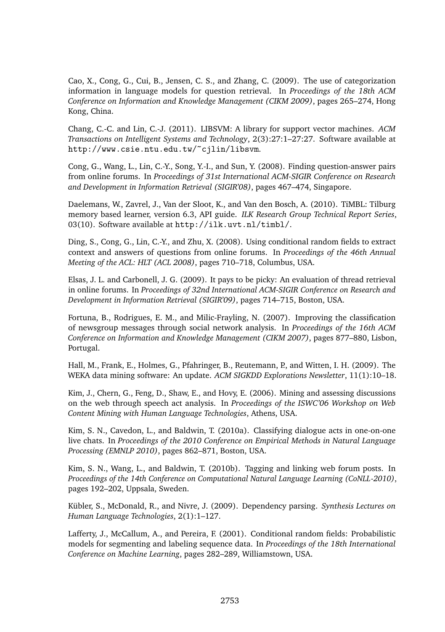Cao, X., Cong, G., Cui, B., Jensen, C. S., and Zhang, C. (2009). The use of categorization information in language models for question retrieval. In *Proceedings of the 18th ACM Conference on Information and Knowledge Management (CIKM 2009)*, pages 265–274, Hong Kong, China.

Chang, C.-C. and Lin, C.-J. (2011). LIBSVM: A library for support vector machines. *ACM Transactions on Intelligent Systems and Technology*, 2(3):27:1–27:27. Software available at http://www.csie.ntu.edu.tw/~cjlin/libsvm.

Cong, G., Wang, L., Lin, C.-Y., Song, Y.-I., and Sun, Y. (2008). Finding question-answer pairs from online forums. In *Proceedings of 31st International ACM-SIGIR Conference on Research and Development in Information Retrieval (SIGIR'08)*, pages 467–474, Singapore.

Daelemans, W., Zavrel, J., Van der Sloot, K., and Van den Bosch, A. (2010). TiMBL: Tilburg memory based learner, version 6.3, API guide. *ILK Research Group Technical Report Series*, 03(10). Software available at http://ilk.uvt.nl/timbl/.

Ding, S., Cong, G., Lin, C.-Y., and Zhu, X. (2008). Using conditional random fields to extract context and answers of questions from online forums. In *Proceedings of the 46th Annual Meeting of the ACL: HLT (ACL 2008)*, pages 710–718, Columbus, USA.

Elsas, J. L. and Carbonell, J. G. (2009). It pays to be picky: An evaluation of thread retrieval in online forums. In *Proceedings of 32nd International ACM-SIGIR Conference on Research and Development in Information Retrieval (SIGIR'09)*, pages 714–715, Boston, USA.

Fortuna, B., Rodrigues, E. M., and Milic-Frayling, N. (2007). Improving the classification of newsgroup messages through social network analysis. In *Proceedings of the 16th ACM Conference on Information and Knowledge Management (CIKM 2007)*, pages 877–880, Lisbon, Portugal.

Hall, M., Frank, E., Holmes, G., Pfahringer, B., Reutemann, P., and Witten, I. H. (2009). The WEKA data mining software: An update. *ACM SIGKDD Explorations Newsletter*, 11(1):10–18.

Kim, J., Chern, G., Feng, D., Shaw, E., and Hovy, E. (2006). Mining and assessing discussions on the web through speech act analysis. In *Proceedings of the ISWC'06 Workshop on Web Content Mining with Human Language Technologies*, Athens, USA.

Kim, S. N., Cavedon, L., and Baldwin, T. (2010a). Classifying dialogue acts in one-on-one live chats. In *Proceedings of the 2010 Conference on Empirical Methods in Natural Language Processing (EMNLP 2010)*, pages 862–871, Boston, USA.

Kim, S. N., Wang, L., and Baldwin, T. (2010b). Tagging and linking web forum posts. In *Proceedings of the 14th Conference on Computational Natural Language Learning (CoNLL-2010)*, pages 192–202, Uppsala, Sweden.

Kübler, S., McDonald, R., and Nivre, J. (2009). Dependency parsing. *Synthesis Lectures on Human Language Technologies*, 2(1):1–127.

Lafferty, J., McCallum, A., and Pereira, F. (2001). Conditional random fields: Probabilistic models for segmenting and labeling sequence data. In *Proceedings of the 18th International Conference on Machine Learning*, pages 282–289, Williamstown, USA.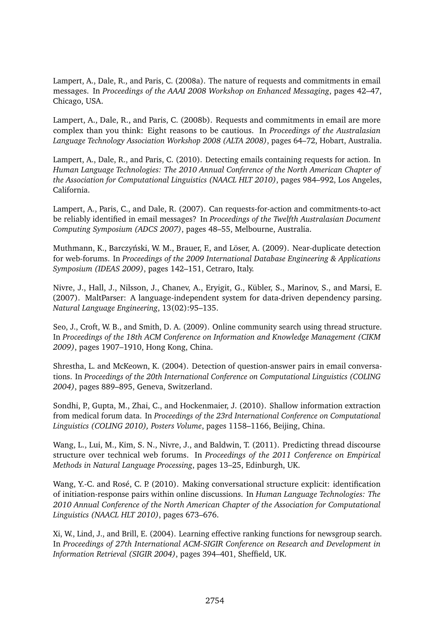Lampert, A., Dale, R., and Paris, C. (2008a). The nature of requests and commitments in email messages. In *Proceedings of the AAAI 2008 Workshop on Enhanced Messaging*, pages 42–47, Chicago, USA.

Lampert, A., Dale, R., and Paris, C. (2008b). Requests and commitments in email are more complex than you think: Eight reasons to be cautious. In *Proceedings of the Australasian Language Technology Association Workshop 2008 (ALTA 2008)*, pages 64–72, Hobart, Australia.

Lampert, A., Dale, R., and Paris, C. (2010). Detecting emails containing requests for action. In *Human Language Technologies: The 2010 Annual Conference of the North American Chapter of the Association for Computational Linguistics (NAACL HLT 2010)*, pages 984–992, Los Angeles, California.

Lampert, A., Paris, C., and Dale, R. (2007). Can requests-for-action and commitments-to-act be reliably identified in email messages? In *Proceedings of the Twelfth Australasian Document Computing Symposium (ADCS 2007)*, pages 48–55, Melbourne, Australia.

Muthmann, K., Barczyński, W. M., Brauer, F., and Löser, A. (2009). Near-duplicate detection for web-forums. In *Proceedings of the 2009 International Database Engineering & Applications Symposium (IDEAS 2009)*, pages 142–151, Cetraro, Italy.

Nivre, J., Hall, J., Nilsson, J., Chanev, A., Eryigit, G., Kübler, S., Marinov, S., and Marsi, E. (2007). MaltParser: A language-independent system for data-driven dependency parsing. *Natural Language Engineering*, 13(02):95–135.

Seo, J., Croft, W. B., and Smith, D. A. (2009). Online community search using thread structure. In *Proceedings of the 18th ACM Conference on Information and Knowledge Management (CIKM 2009)*, pages 1907–1910, Hong Kong, China.

Shrestha, L. and McKeown, K. (2004). Detection of question-answer pairs in email conversations. In *Proceedings of the 20th International Conference on Computational Linguistics (COLING 2004)*, pages 889–895, Geneva, Switzerland.

Sondhi, P., Gupta, M., Zhai, C., and Hockenmaier, J. (2010). Shallow information extraction from medical forum data. In *Proceedings of the 23rd International Conference on Computational Linguistics (COLING 2010), Posters Volume*, pages 1158–1166, Beijing, China.

Wang, L., Lui, M., Kim, S. N., Nivre, J., and Baldwin, T. (2011). Predicting thread discourse structure over technical web forums. In *Proceedings of the 2011 Conference on Empirical Methods in Natural Language Processing*, pages 13–25, Edinburgh, UK.

Wang, Y.-C. and Rosé, C. P. (2010). Making conversational structure explicit: identification of initiation-response pairs within online discussions. In *Human Language Technologies: The 2010 Annual Conference of the North American Chapter of the Association for Computational Linguistics (NAACL HLT 2010)*, pages 673–676.

Xi, W., Lind, J., and Brill, E. (2004). Learning effective ranking functions for newsgroup search. In *Proceedings of 27th International ACM-SIGIR Conference on Research and Development in Information Retrieval (SIGIR 2004)*, pages 394–401, Sheffield, UK.